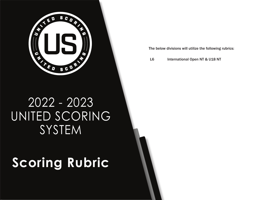

The below divisions will utilize the following rubrics:

L6 International Open NT & U18 NT

## 2022 - 2023 UNITED SCORING SYSTEM

# **Scoring Rubric**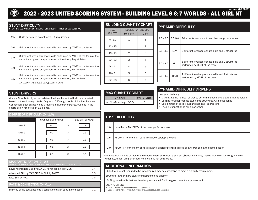

#### 2022 - 2023 UNITED SCORING SYSTEM - BUILDING LEVEL 6 & 7 WORLDS - ALL GIRL NT Version: 6.8.2022

#### STUNT DIFFICULTY

STUNT SKILLS WILL ONLY RECEIVE FULL CREDIT IF THEY SHOW CONTROL

| 2.5 | Skills performed do not meet 3.0 requirement                                                                                                                                            |
|-----|-----------------------------------------------------------------------------------------------------------------------------------------------------------------------------------------|
| 3.0 | 5 different level appropriate skills performed by MOST of the team                                                                                                                      |
| 3.5 | 3 different level appropriate skills performed by MOST of the team at the<br>same time rippled or synchronized without recycling athletes                                               |
| 4.0 | 4 different level appropriate skills performed by MOST of the team at the<br>same time rippled or synchronized without recycling athletes                                               |
| 4.5 | 5 different level appropriate skills performed by MOST of the team at the<br>same time rippled or synchronized without recycling athletes<br>L7 teams - At least 2 being Level 7 skills |

#### BUILDING QUANTITY CHART

| # OF            |                 | <b>NUMBER OF GROUPS</b> | н                     |
|-----------------|-----------------|-------------------------|-----------------------|
| <b>ATHLETES</b> | <b>MAJORITY</b> | <b>MOST</b>             |                       |
| $5 - 11$        | 1               | 1                       | $\tilde{\phantom{a}}$ |
| $12 - 15$       | $\mathbf{1}$    | $\overline{2}$          |                       |
| $16 - 19$       | $\overline{2}$  | 3                       | $\tilde{\phantom{a}}$ |
| $20 - 23$       | 3               | 4                       |                       |
| $24 - 27$       | 4               | 5                       | ă                     |
| $28 - 31$       | 5               | 6                       | $\ddot{\cdot}$        |
| $32 - 38$       | 6               |                         |                       |

#### PYRAMID DIFFICULTY

| $2.0 - 2.5$ | <b>BELOW</b> | Skills performed do not meet Low range requirement                                     |
|-------------|--------------|----------------------------------------------------------------------------------------|
| $2.5 - 3.0$ | LOW          | 2 different level appropriate skills and 2 structures                                  |
| $3.0 - 3.5$ | <b>MID</b>   | 3 different level appropriate skills and 2 structures<br>performed by MOST of the team |
| $3.5 - 4.0$ | <b>HIGH</b>  | 4 different level appropriate skills and 2 structures<br>performed by MOST of the team |

#### STUNT DRIVERS

Once a Stunt Difficulty score is determined, each stunt skill will be evaluated based on the following criteria: Degree of Difficulty, Max Participation, Pace and Connection. Each category has a maximum number of points, outlined in the charts below for a total of 1.5 points.

## DEGREE OF DIFFICULTY (0 - 1.0) Advanced skill by MOST | Elite skill by MOST Skill 1 | 0.1 | OR | 0.2 Skill 2 | 0.1 | OR | 0.2 Skill 3 | 0.1 | OR | 0.2 Skill 4 | 0.1 | OR | 0.2 Skill 5 | 0.1 | OR | 0.2

| MAX PARTICIPATION (0 - 0.6)<br>(RIPPLED OR SYNCHRONIZED IN THE SAME SECTION WITHOUT RECYCLING ATHLETES) |     |
|---------------------------------------------------------------------------------------------------------|-----|
| Level Appropriate Skill by MAX OR Advanced Skill by MOST                                                | 0.4 |
| Advanced Skill by MAX OR Elite Skill by MOST                                                            | 0.5 |
| Elite Skill by MAX                                                                                      | 0.6 |
| PACE & CONNECTION (0 - 0.1)                                                                             |     |
| Majority of the sequence has a consistent/quick pace & connection                                       | 0.1 |

#### MAX QUANTITY CHART DIVISION **# OF STUNTS** Int. Non-Tumbling (10-30) 6

#### PYRAMID DIFFICULTY DRIVERS

Degree of Difficulty:

- Maximizing the number of groups performing each level appropriate transition
- Utilizing level appropriate stunts into structures/within sequence
- Combination of skills (level and non-level appropriate)
- Pace & Connection of skills performed

### TOSS DIFFICULTY

- 1.0 Less than a MAJORITY of the team performs a toss
- 1.5 MAJORITY of the team performs a level appropriate toss

2.0 MAJORITY of the team performs a level appropriate toss rippled or synchronized in the same section

Same Section - Single portion of the routine where skills from a skill set (Stunts, Pyramids, Tosses, Standing Tumbling, Running Tumbling, Jumps) are performed. Athletes may not be recycled.

#### ADDITIONAL INFORMATION

Skills that are not required to be synchronized may be cumulative to meet a difficulty requirement.

Structure - Two or more stunts connected to one another

L6- All pyramid skills that are Level Appropriate in L5 will be given Level Appropriate credit.

#### BODY POSITIONS

• Lib and platform are not considered body positions

• Body positions include: Stretch, bow and arrow, arabesque, scale, scorpion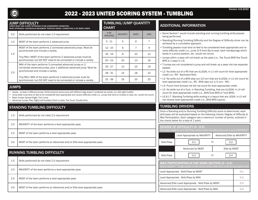

## 2022 - 2023 UNITED SCORING SYSTEM - TUMBLING

#### JUMP DIFFICULTY

JUMPS MUST USE A WHIP APPROACH TO BE CONSIDERED CONNECTED. WHIP APPROACH- CONTINUOUS MOVEMENT THROUGH SWING, CONNECTING 2 OR MORE JUMPS.

| 0.5 | Skills performed do not meet 1.0 requirement                                                                                        | # OF<br><b>ATHLETES</b> |  |
|-----|-------------------------------------------------------------------------------------------------------------------------------------|-------------------------|--|
| 1.0 | MOST of the team performs 1 advanced jump                                                                                           | $5 - 11$                |  |
|     | MOST of the team performs 2 connected advanced jumps. Must be<br>synchronized and include a variety.                                | $12 - 15$               |  |
| 1.5 | Tiny/Mini: MOST of the team performs 2 advanced jumps must be                                                                       | $16 - 19$               |  |
|     | synchronized, but DO NOT need to be connected or include a variety.                                                                 | $20 - 23$               |  |
|     | MAX of the team performs 3 connected advanced jumps or 2<br>connected advanced jumps, plus 1 additional advanced jump. Must be      | $24 - 27$               |  |
| 2.0 | synchronized and include a variety.                                                                                                 | $28 - 31$               |  |
|     | Tiny/Mini: MAX of the team performs 3 advanced jumps must be<br>synchronized, but DO NOT need to be connected or include a variety. | $32 - 38$               |  |

#### JUMPS

• Variety - at least 2 different jumps. Performing the same jump with different legs doesn't constitute as variety. (I.e. left/right hurdler)

- Jump skills must land on feet to be considered level appropriate and receive difficulty credit (i.e., jumps that land on knee(s) or seat, etc. would not count). • Basic Jumps: Spread Eagle, Tuck Jump
- Advanced Jumps: Pike, Right/Left Hurdlers (front or side), Toe Touch, Double Nine

#### STANDING TUMBLING DIFFICULTY

| 1.5 | Skills performed do not meet 2.0 requirement                              |
|-----|---------------------------------------------------------------------------|
| 2.0 | MAJORITY of the team performs a level appropriate pass                    |
| 2.5 | MOST of the team performs a level appropriate pass                        |
| 3.0 | MOST of the team performs an Advanced and/or Elite level appropriate pass |

#### RUNNING TUMBLING DIFFICULTY

| 1.5 | Skills performed do not meet 2.0 requirement                              |
|-----|---------------------------------------------------------------------------|
| 2.0 | MAJORITY of the team performs a level appropriate pass                    |
| 2.5 | MOST of the team performs a level appropriate pass                        |
| 3.0 | MOST of the team performs an Advanced and/or Elite level appropriate pass |

#### TUMBLING/JUMP QUANTITY

CHART

|                         | UNARI           |                |            |
|-------------------------|-----------------|----------------|------------|
| # OF<br><b>ATHLETES</b> | <b>MAJORITY</b> | <b>MOST</b>    | <b>MAX</b> |
| $5 - 11$                | 5               | 6              | 7          |
| $12 - 15$               | 6               | $\overline{7}$ | 9          |
| $16 - 19$               | 8               | 10             | 12         |
| $20 - 23$               | 10              | 13             | 16         |
| $24 - 27$               | 12              | 15             | 19         |
| $28 - 31$               | 14              | 18             | 22         |
| $32 - 38$               | 16              | 20             | 25         |

#### ADDITIONAL INFORMATION

- Same Section\* would include standing and running tumbling skills/passes being performed.
- Standing/Running Tumbling Difficulty and the Degree of Difficulty driver can be achieved by a cumulative approach.
- Tumbling passes must land on feet to be considered level appropriate and receive difficulty credit (i.e., jump 3/4 front flip to seat, back handsprings which lands in a prone position, etc. would not count).
- Jumps within a pass will not break up the pass (i.e., Toe Touch-BHS-Toe Touch-BHS is 1 pass in L3).
- T-Jumps are not considered a jump and will break up a pass into two separate passes.
- L2- No skills out of a RO that are ILLEGAL in L1 will count for level appropriate credit (i.e., RO - Backward Roll).
- L3- No skills out of a BHS step out 1⁄2 turn that are ILLEGAL in L2 will count for level appropriate credit (i.e., RO - BHS step out 1/2 turn - RO).
- L4- Punch front forward roll will not count for level appropriate credit.
- L5- No skills out of a Tuck, in Standing Tumbling, that are ILLEGAL in L4 will count for level appropriate credit (i.e., BHS-Tuck-BHS or Tuck-BHS).
- L6 & L7- Standing Tumbling skills ending in a layout that are LEGAL in L5 will not receive level appropriate credit (i.e., BHS-BHS-Layout).

#### TUMBLING DRIVERS

Once a Standing and/or Running Tumbling Difficulty score is determined, each skill/pass will be evaluated based on the following criteria: Degree of Difficulty & Max Participation. Each category has a maximum number of points, outlined in the charts below for a total of 1 point.

| <b>DEGREE OF DIFFICULTY (0 - 0.6)</b><br>(To receive credit for each Skill/Pass section below the skills performed must be DIFFERENT)          |                                                              |                            |  |
|------------------------------------------------------------------------------------------------------------------------------------------------|--------------------------------------------------------------|----------------------------|--|
|                                                                                                                                                | Level Appropriate by MAJORITY                                | Advanced/Elite by MAJORITY |  |
| Skill/Pass                                                                                                                                     | 0.1<br>0 <sub>R</sub>                                        | 0.2                        |  |
|                                                                                                                                                | Advanced by MOST                                             | Elite by MOST              |  |
| Skill/Pass                                                                                                                                     | 0.3<br>0 <sub>R</sub>                                        | 0.4                        |  |
| MAX PARTICIPATION IN THE SAME SECTION (0 - 0.4)<br>(Same Section* - Single portion of the routine where skills from a skill set are performed) |                                                              |                            |  |
|                                                                                                                                                | Level Appropriate - Skill/Pass by MOST<br>0.1                |                            |  |
|                                                                                                                                                | 0.2<br>Level Appropriate - Skill/Pass by MAX                 |                            |  |
|                                                                                                                                                | Advanced/Elite Level Appropriate - Skill/Pass by MOST<br>0.3 |                            |  |
|                                                                                                                                                | Advanced/Elite Level Appropriate - Skill/Pass by MAX<br>0.4  |                            |  |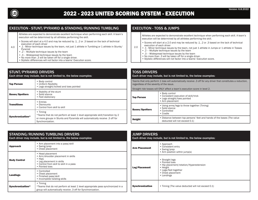

#### EXECUTION - STUNT/PYRAMID & STANDING/RUNNING TUMBLING

Athletes are expected to demonstrate excellent technique when performing each skill. A team's execution will be determined by all athletes performing the skill.

- Scores will start at a 4.0 and may be reduced by .1, .2 or .3 based on the lack of technical execution of each driver
- 4.0 • .1 - Minor technique issues by the team, not just 1 athlete in Tumbling or 1 athlete in Stunts/ Pyramid
	- $\overrightarrow{2}$  Multiple technique issues by the team
	- .3 Widespread technique issues by the team
	- No more than .3 will be taken off for a single driver.
	- Stylistic differences will not factor into a teams' Execution score.

#### STUNT/PYRAMID DRIVERS

| Each driver may include, but is not limited to, the below examples: |                                                                                                                                                                                                      |  |
|---------------------------------------------------------------------|------------------------------------------------------------------------------------------------------------------------------------------------------------------------------------------------------|--|
| <b>Top Person</b>                                                   | • Body control<br>• Uniform flexibility<br>• Legs straight/locked and toes pointed                                                                                                                   |  |
| <b>Bases/Spotters</b>                                               | • Stability of the stunt<br>• Solid stance<br>• Feet stationary                                                                                                                                      |  |
| <b>Transitions</b>                                                  | • Entries<br>• Dismounts<br>• Control from skill to skill                                                                                                                                            |  |
| Synchronization*                                                    | $\bullet$ Timing<br>*Teams that do not perform at least 1 level appropriate skill/transition by 2<br>or more groups in Stunts and Pyramids will automatically receive .3 off for<br>Synchronization. |  |

#### EXECUTION - TOSS & JUMPS

Athletes are expected to demonstrate excellent technique when performing each skill. A team's execution will be determined by all athletes performing the skill.

- Scores will start at a 2.0 and may be reduced by .1, .2 or .3 based on the lack of technical execution of each driver
- 2.0 • .1 - Minor technique issues by the team, not just 1 athlete in Jumps or 1 athlete in Tosses
	- .2 Multiple technique issues by the team
	- .3 Widespread technique issues by the team
	- No more than .3 will be taken off for a single driver.
	- Stylistic differences will not factor into a teams' Execution score.

#### TOSS DRIVERS

#### Each driver may include, but is not limited to, the below examples:

Teams that only perform 1 toss will automatically receive .3 off for any driver that constitutes a reduction, regardless of the severity of the issue.

Straight ride tosses will ONLY affect a team's execution score in level 2.

| <b>Top Person</b>     | • Body control<br>• Consistent execution of skill/trick<br>• Legs straight/toes pointed<br>• Arm placement |
|-----------------------|------------------------------------------------------------------------------------------------------------|
| <b>Bases/Spotters</b> | • Using arms/legs to throw together (Timing)<br>• Solid stance<br>• Controlled<br>$\bullet$ Cradle         |
| <b>Height</b>         | • Distance between top persons' feet and hands of the bases (The value<br>deducted will not exceed 0.1)    |

| <b>STANDING/RUNNING TUMBLING DRIVERS</b><br>Each driver may include, but is not limited to, the below examples: |                                                                                                                                                            |  |
|-----------------------------------------------------------------------------------------------------------------|------------------------------------------------------------------------------------------------------------------------------------------------------------|--|
| <b>Approach</b>                                                                                                 | • Arm placement into a pass/skill<br>• Swing/prep<br>• Chest placement                                                                                     |  |
| <b>Body Control</b>                                                                                             | • Head placement<br>• Arm/shoulder placement in skills<br>• Hips<br>• Leg placement in skills<br>• Control from skill to skill in a pass<br>• Pointed toes |  |
| Landings                                                                                                        | • Controlled<br>• Chest placement<br>• Finished pass/skill<br>• Incomplete twisting skills                                                                 |  |
| Synchronization*                                                                                                | • Timing<br>*Teams that do not perform at least 1 level appropriate pass synchronized in a<br>group will automatically receive .3 off for Synchronization. |  |

| <b>JUMP DRIVERS</b><br>Each driver may include, but is not limited to, the below examples: |                                                                                                                                                     |  |
|--------------------------------------------------------------------------------------------|-----------------------------------------------------------------------------------------------------------------------------------------------------|--|
| <b>Arm Placement</b>                                                                       | • Approach<br>• Consistent entry<br>• Swing/prep<br>• Arm position within jump(s)                                                                   |  |
| <b>Leg Placement</b>                                                                       | • Straight legs<br>• Pointed toes<br>• Hip placement/rotation/Hyperextension<br>• Height<br>• Legs/feet together<br>• Chest placement<br>• Landings |  |
| <b>Synchronization</b>                                                                     | • Timing (The value deducted will not exceed 0.1)                                                                                                   |  |